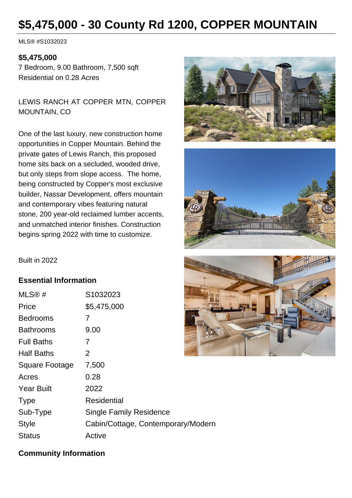# **\$5,475,000 - 30 County Rd 1200, COPPER MOUNTAIN**

MLS® #S1032023

#### **\$5,475,000**

7 Bedroom, 9.00 Bathroom, 7,500 sqft Residential on 0.28 Acres

LEWIS RANCH AT COPPER MTN, COPPER MOUNTAIN, CO

One of the last luxury, new construction home opportunities in Copper Mountain. Behind the private gates of Lewis Ranch, this proposed home sits back on a secluded, wooded drive, but only steps from slope access. The home, being constructed by Copper's most exclusive builder, Nassar Development, offers mountain and contemporary vibes featuring natural stone, 200 year-old reclaimed lumber accents, and unmatched interior finishes. Construction begins spring 2022 with time to customize.





Built in 2022

### **Essential Information**

| MLS@#             | S1032023                           |
|-------------------|------------------------------------|
| Price             | \$5,475,000                        |
| <b>Bedrooms</b>   | 7                                  |
| <b>Bathrooms</b>  | 9.00                               |
| <b>Full Baths</b> | 7                                  |
| <b>Half Baths</b> | 2                                  |
| Square Footage    | 7,500                              |
| Acres             | 0.28                               |
| <b>Year Built</b> | 2022                               |
| <b>Type</b>       | Residential                        |
| Sub-Type          | <b>Single Family Residence</b>     |
| <b>Style</b>      | Cabin/Cottage, Contemporary/Modern |
| <b>Status</b>     | Active                             |



### **Community Information**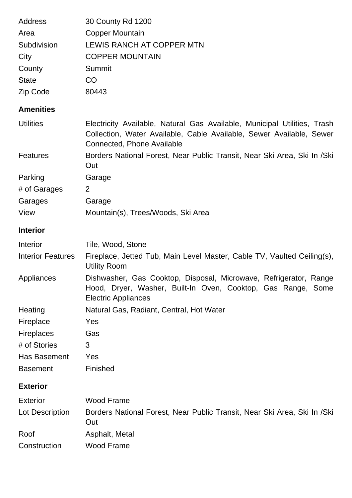| Address                  | 30 County Rd 1200                                                                                                                                                              |
|--------------------------|--------------------------------------------------------------------------------------------------------------------------------------------------------------------------------|
| Area                     | <b>Copper Mountain</b>                                                                                                                                                         |
| Subdivision              | <b>LEWIS RANCH AT COPPER MTN</b>                                                                                                                                               |
| City                     | <b>COPPER MOUNTAIN</b>                                                                                                                                                         |
| County                   | Summit                                                                                                                                                                         |
| <b>State</b>             | <b>CO</b>                                                                                                                                                                      |
| Zip Code                 | 80443                                                                                                                                                                          |
| <b>Amenities</b>         |                                                                                                                                                                                |
| <b>Utilities</b>         | Electricity Available, Natural Gas Available, Municipal Utilities, Trash<br>Collection, Water Available, Cable Available, Sewer Available, Sewer<br>Connected, Phone Available |
| <b>Features</b>          | Borders National Forest, Near Public Transit, Near Ski Area, Ski In /Ski<br>Out                                                                                                |
| Parking                  | Garage                                                                                                                                                                         |
| # of Garages             | 2                                                                                                                                                                              |
| Garages                  | Garage                                                                                                                                                                         |
| View                     | Mountain(s), Trees/Woods, Ski Area                                                                                                                                             |
| <b>Interior</b>          |                                                                                                                                                                                |
| Interior                 | Tile, Wood, Stone                                                                                                                                                              |
| <b>Interior Features</b> | Fireplace, Jetted Tub, Main Level Master, Cable TV, Vaulted Ceiling(s),<br><b>Utility Room</b>                                                                                 |
| Appliances               | Dishwasher, Gas Cooktop, Disposal, Microwave, Refrigerator, Range<br>Hood, Dryer, Washer, Built-In Oven, Cooktop, Gas Range, Some<br><b>Electric Appliances</b>                |
| Heating                  | Natural Gas, Radiant, Central, Hot Water                                                                                                                                       |
| Fireplace                | Yes                                                                                                                                                                            |
| Fireplaces               | Gas                                                                                                                                                                            |
| # of Stories             | 3                                                                                                                                                                              |
| Has Basement             | Yes                                                                                                                                                                            |
| <b>Basement</b>          | Finished                                                                                                                                                                       |
| <b>Exterior</b>          |                                                                                                                                                                                |
| <b>Exterior</b>          | <b>Wood Frame</b>                                                                                                                                                              |
| Lot Description          | Borders National Forest, Near Public Transit, Near Ski Area, Ski In /Ski<br>Out                                                                                                |
| Roof                     | Asphalt, Metal                                                                                                                                                                 |
| Construction             | <b>Wood Frame</b>                                                                                                                                                              |